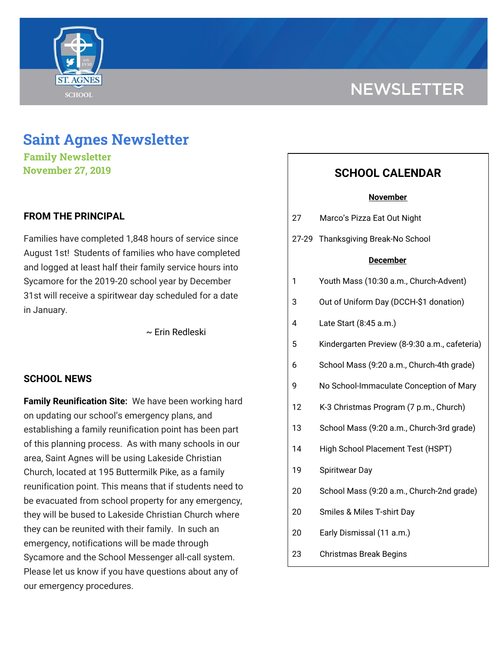

# **NEWSLETTER**

## **Saint Agnes Newsletter**

**Family Newsletter November 27, 2019**

## **FROM THE PRINCIPAL**

Families have completed 1,848 hours of service since August 1st! Students of families who have completed and logged at least half their family service hours into Sycamore for the 2019-20 school year by December 31st will receive a spiritwear day scheduled for a date in January.

~ Erin Redleski

### **SCHOOL NEWS**

**Family Reunification Site:** We have been working hard on updating our school's emergency plans, and establishing a family reunification point has been part of this planning process. As with many schools in our area, Saint Agnes will be using Lakeside Christian Church, located at 195 Buttermilk Pike, as a family reunification point. This means that if students need to be evacuated from school property for any emergency, they will be bused to Lakeside Christian Church where they can be reunited with their family. In such an emergency, notifications will be made through Sycamore and the School Messenger all-call system. Please let us know if you have questions about any of our emergency procedures.

## **SCHOOL CALENDAR**

| <b>November</b> |                                               |
|-----------------|-----------------------------------------------|
| 27              | Marco's Pizza Eat Out Night                   |
|                 | 27-29 Thanksgiving Break-No School            |
| <u>December</u> |                                               |
| 1               | Youth Mass (10:30 a.m., Church-Advent)        |
| 3               | Out of Uniform Day (DCCH-\$1 donation)        |
| 4               | Late Start (8:45 a.m.)                        |
| 5               | Kindergarten Preview (8-9:30 a.m., cafeteria) |
| 6               | School Mass (9:20 a.m., Church-4th grade)     |
| 9               | No School-Immaculate Conception of Mary       |
| 12              | K-3 Christmas Program (7 p.m., Church)        |
| 13              | School Mass (9:20 a.m., Church-3rd grade)     |

- 14 High School Placement Test (HSPT)
- 19 Spiritwear Day
- 20 School Mass (9:20 a.m., Church-2nd grade)
- 20 Smiles & Miles T-shirt Day
- 20 Early Dismissal (11 a.m.)
- 23 Christmas Break Begins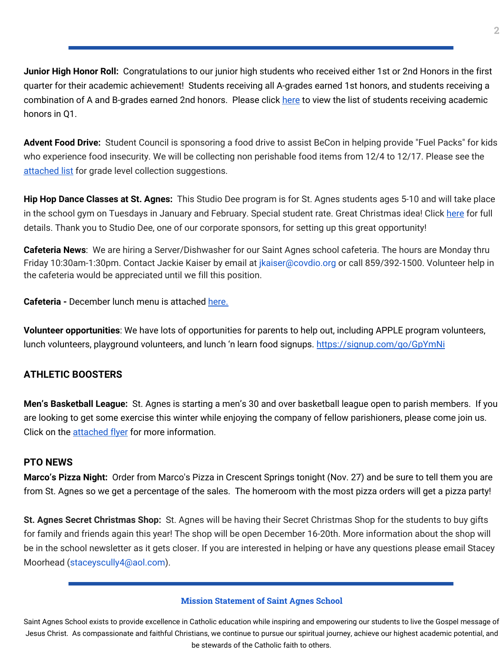**Junior High Honor Roll:** Congratulations to our junior high students who received either 1st or 2nd Honors in the first quarter for their academic achievement! Students receiving all A-grades earned 1st honors, and students receiving a combination of A and B-grades earned 2nd honors. Please click [here](https://school.saintagnes.com/wp-content/uploads/2019/12/Honor-Roll-Fall-2019-updated.pdf) to view the list of students receiving academic honors in Q1.

**Advent Food Drive:** Student Council is sponsoring a food drive to assist BeCon in helping provide "Fuel Packs" for kids who experience food insecurity. We will be collecting non perishable food items from 12/4 to 12/17. Please see the [attached](https://school.saintagnes.com/wp-content/uploads/2019/11/BeCon-food-drive-list-2019-2020.pdf) list for grade level collection suggestions.

**Hip Hop Dance Classes at St. Agnes:** This Studio Dee program is for St. Agnes students ages 5-10 and will take place in the school gym on Tuesdays in January and February. Special student rate. Great Christmas idea! Click [here](https://school.saintagnes.com/wp-content/uploads/2019/11/Studio-Dee-after-school-program.pdf) for full details. Thank you to Studio Dee, one of our corporate sponsors, for setting up this great opportunity!

**Cafeteria News**: We are hiring a Server/Dishwasher for our Saint Agnes school cafeteria. The hours are Monday thru Friday 10:30am-1:30pm. Contact Jackie Kaiser by email at jkaiser@covdio.org or call 859/392-1500. Volunteer help in the cafeteria would be appreciated until we fill this position.

**Cafeteria -** December lunch menu is attached [here.](https://school.saintagnes.com/wp-content/uploads/2019/11/Lunch-menu-Dec-2019.pdf)

**Volunteer opportunities**: We have lots of opportunities for parents to help out, including APPLE program volunteers, lunch volunteers, playground volunteers, and lunch 'n learn food signups. <https://signup.com/go/GpYmNi>

## **ATHLETIC BOOSTERS**

**Men's Basketball League:** St. Agnes is starting a men's 30 and over basketball league open to parish members. If you are looking to get some exercise this winter while enjoying the company of fellow parishioners, please come join us. Click on the [attached](https://school.saintagnes.com/wp-content/uploads/2019/11/Mens-League-Flyer-2019-20.pdf) flyer for more information.

## **PTO NEWS**

**Marco's Pizza Night:** Order from Marco's Pizza in Crescent Springs tonight (Nov. 27) and be sure to tell them you are from St. Agnes so we get a percentage of the sales. The homeroom with the most pizza orders will get a pizza party!

**St. Agnes Secret Christmas Shop:** St. Agnes will be having their Secret Christmas Shop for the students to buy gifts for family and friends again this year! The shop will be open December 16-20th. More information about the shop will be in the school newsletter as it gets closer. If you are interested in helping or have any questions please email Stacey Moorhead (staceyscully4@aol.com).

#### **Mission Statement of Saint Agnes School**

Saint Agnes School exists to provide excellence in Catholic education while inspiring and empowering our students to live the Gospel message of Jesus Christ. As compassionate and faithful Christians, we continue to pursue our spiritual journey, achieve our highest academic potential, and be stewards of the Catholic faith to others.